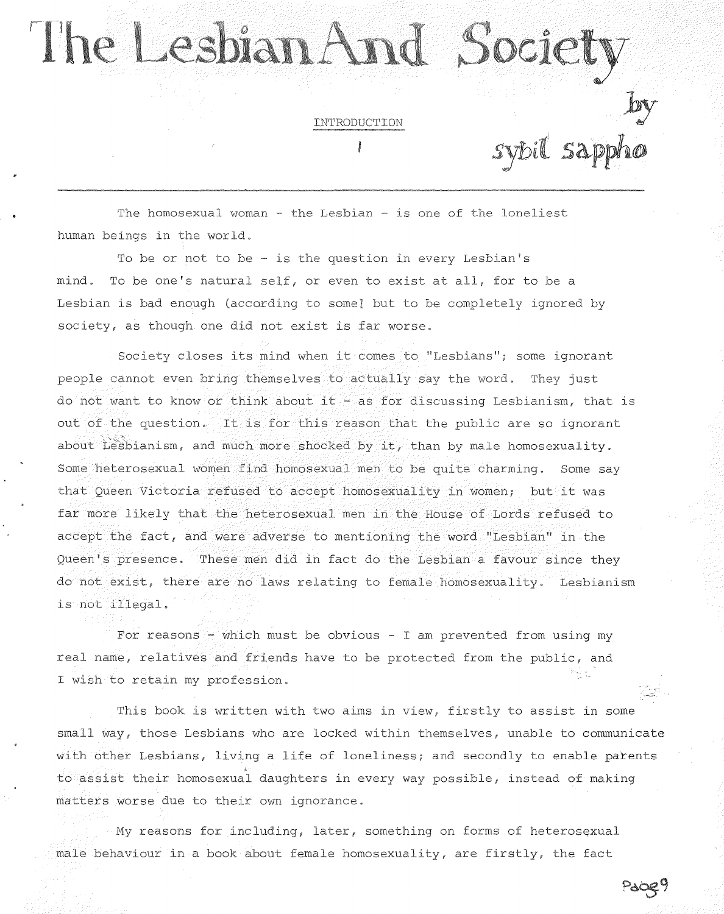## The Lesbian And Societ

INTRODUCTION

sybil sappho

Pacey

The homosexual woman - the Lesbian - is one of the loneliest human beings in the world.

To be or not to be - is the question in every Lesbian's mind. To be one's natural self, or even to exist at all, for to be a Lesbian is bad enough (according to some) but to be completely ignored by society, as though one did not exist is far worse.

Society closes its mind when it comes to "Lesbians"; some ignorant people cannot even bring themselves to actually say the word. They just do not want to know or think about it - as for discussing Lesbianism, that is out of the question. It is for this reason that the public are so ignorant about  $\tilde{L}$  espianism, and much more shocked by it, than by male homosexuality. Some heterosexual women find homosexual men to be quite charming. Some say that Queen Victoria refused to accept homosexuality in women; but it was far more likely that the heterosexual men in the House of Lords refused to accept the fact, and were adverse to mentioning the word "Lesbian" in the Queen's presence. These men did in fact do the Lesbian a favour since they do not exist, there are no laws relating to female homosexuality. Lesbianism is not

For reasons - which must be obvious - I am prevented from using my real name, relatives and friends have to be protected from the public, and I wish to retain my profession.

This book is written with two aims in view, firstly to assist in some small way, those Lesbians who are locked within themselves, unable to communicate with other Lesbians, living a life of loneliness; and secondly to enable parents to assist their homosexual daughters in every way possible, instead of making matters worse due to their own ignorance.

My reasons for including, later, something on forms of heterosexual male behaviour in a book about female homosexuality, are firstly, the fact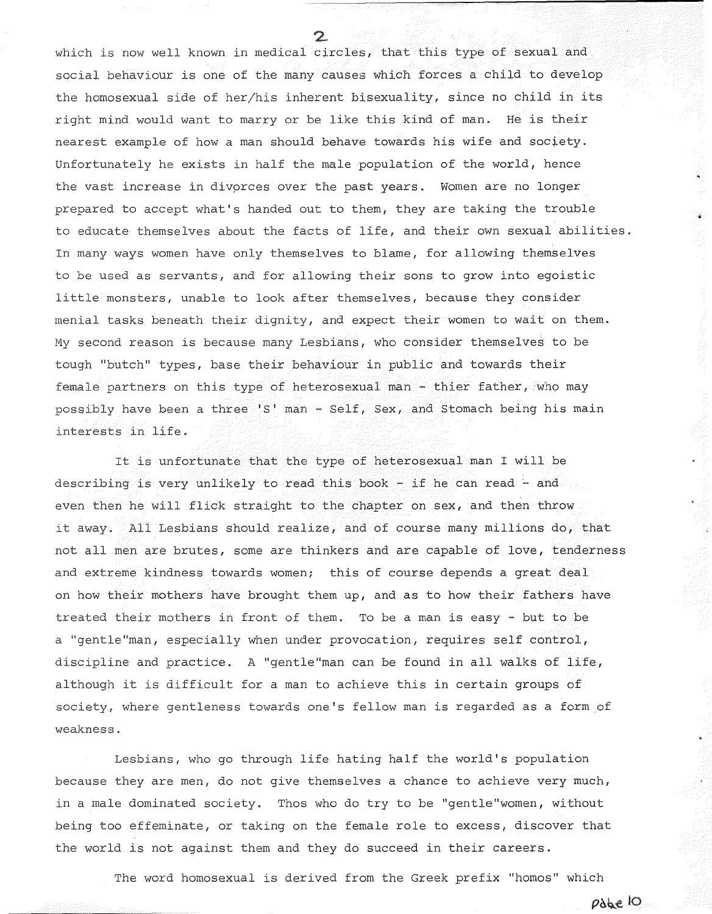which is now well known in medical circles, that this type of sexual and social behaviour is one of the many causes which forces a child to develop the homosexual side of her/his inherent bisexuality, since no child in its right mind would want to marry or be like this kind of man. He is their nearest example of how a man should behave towards his wife and society. Unfortunately he exists in half the male population of the world, hence the vast increase in divprces over the past years. Women are no longer prepared to accept what's handed out to them, they are taking the trouble to educate themselves about the facts of life, and their own sexual abilities. In many ways women have only themselves to blame, for allowing themselves to be used as servants, and for allowing their sons to grow into egoistic little monsters, unable to look after themselves, because they consider menial tasks beneath their dignity, and expect their women to wait on them. My second reason is because many Lesbians, who consider themselves to be tough "butch" types, base their behaviour in public and towards their female partners on this type of heterosexual man - thier father, who may possibly have been a three 'S' man - Self, Sex, and Stomach being his main interests in life.

It is unfortunate that the type of heterosexual man I will be describing is very unlikely to read this book - if he can read - and even then he will flick straight to the chapter on sex, and then throw it away. All Lesbians should realize, and of course many millions do, that not all men are brutes, some are thinkers and are capable of love, tenderness and extreme kindness towards women; this of course depends a great deal on how their mothers have brought them up, and as to how their fathers have treated their mothers in front of them. To be a man is easy - but to be a "gentle"man, especially when under provocation, requires self control, discipline and practice. A "gentle"man can be found in all walks of life, although it is difficult for a man to achieve this in certain groups of society, where gentleness towards one's fellow man is regarded as a form of weakness.

Lesbians, who go through life hating half the world's population because they are men, do not give themselves a chance to achieve very much, in a male dominated society. Thos who do try to be "gentle"women, without being too effeminate, or taking on the female role to excess, discover that the world is not against them and they do succeed in their careers.

The word homosexual is derived from the Greek prefix "homos" which

pabe 10

à,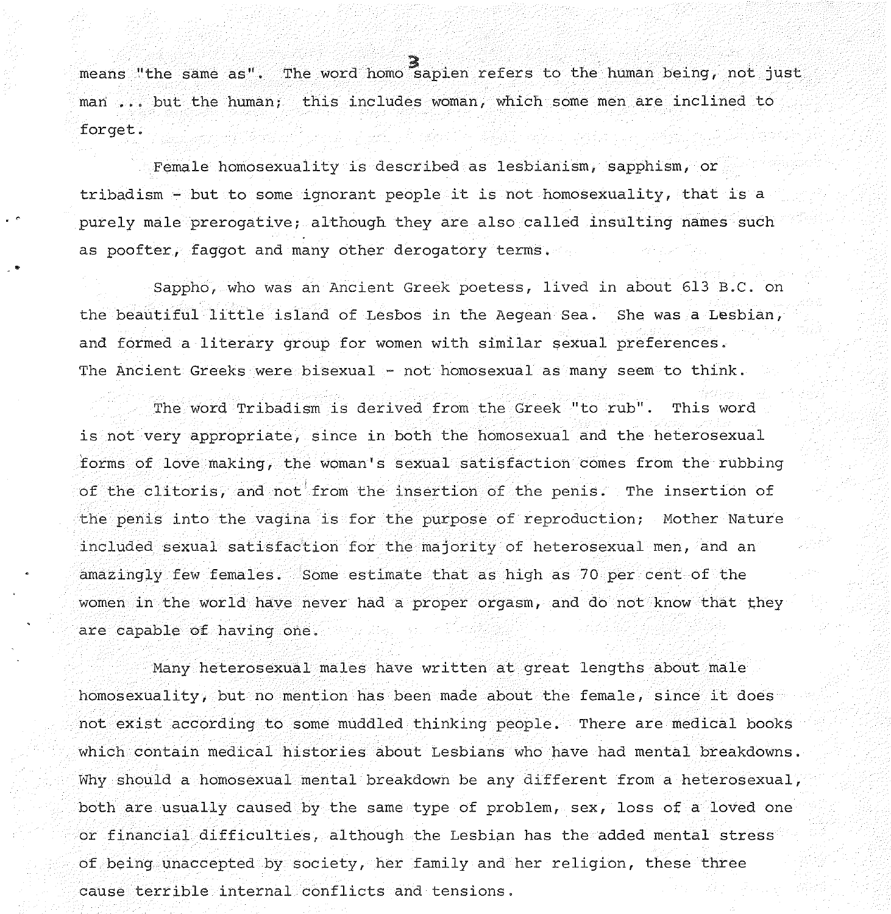means "the same as". The word homo sapien refers to the human being, not just man ... but the human; this includes woman, which some men are inclined to forget.

Female homosexuality is described as lesbianism, sapphism, or tribadism - but to some ignorant people it is not homosexuality, that is a purely male prerogative; although they are also called insulting names such as poofter, faggot and many other derogatory terms .

• *r* 

..

Sappho, who was an Ancient Greek poetess, lived in about 613 B.C. on the beautiful little island of Lesbos in the Aegean Sea. She was a Lesbian, and formed a literary group for women with similar sexual preferences. The Ancient Greeks were bisexual - not homosexual as many seem to think.

The word Tribadism is derived from the Greek "to rub". This word is not very appropriate, since in both the homosexual and the heterosexual forms of love making, the woman's sexual satisfaction comes from the rubbing of the clitoris, and not from the insertion of the penis. The insertion of the penis into the vagina is for the purpose of reproduction; Mother Nature included sexual satisfaction for the majority of heterosexual men, and an amazingly few females. Some estimate that as high as 70 per cent of the women in the world have never had a proper orgasm, and do not know that they are capable of having one.

Many heterosexual males have written at great lengths about male homosexuality, but no mention has been made about the female, since it does not exist according to some muddled thinking people. There are medical books which contain medical histories about Lesbians who have had mental breakdowns. Why should a homosexual mental breakdown be any different from a heterosexual, both are usually caused by the same type of problem, sex, loss of a loved one or financial difficulties, although the Lesbian has the added mental stress of being unaccepted by society, her family and her religion, these three cause terrible internal conflicts and tensions.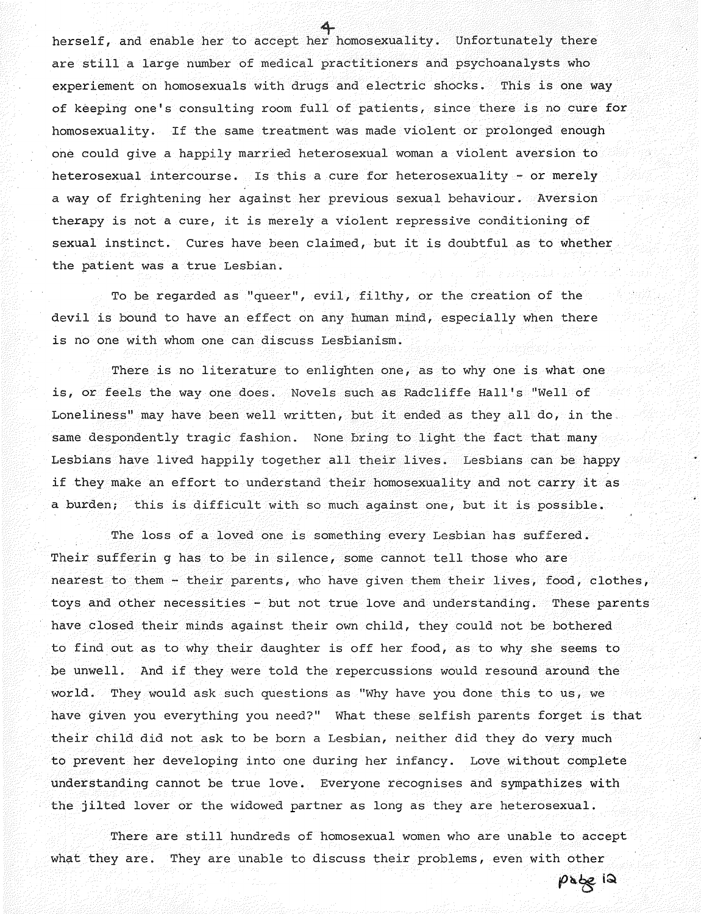herself, and enable her to accept her homosexuality. Unfortunately there are still a large number of medical practitioners and psychoanalysts who experiement on homosexuals with drugs and electric shocks. This is one way of keeping one's consulting room full of patients, since there is no cure for homosexuality. If the same treatment was made violent or prolonged enough one could give a happily married heterosexual woman a violent aversion to heterosexual intercourse. Is this a cure for heterosexuality - or merely a way of frightening her against her previous sexual behaviour. Aversion therapy is not a cure, it is merely a violent repressive conditioning of sexual instinct. Cures have been claimed, but it is doubtful as to whether the patient was a true Lesbian.

To be regarded as "queer", evil, filthy, or the creation of the devil is bound to have an effect on any human mind, especially when there is no one with whom one can discuss Lesbianism.

There is no literature to enlighten one, as to why one is what one is, or feels the way one does. Novels such as Radcliffe Hall's "Well of Loneliness" may have been well written, but it ended as they all do, in the. same despondently tragic fashion. None bring to light the fact that many Lesbians have lived happily together all their lives. Lesbians can be happy if they make an effort to understand their homosexuality and not carry it as a burden; this is difficult with so much against one, but it is possible.

The loss of a loved one is something every Lesbian has suffered. Their sufferin g has to be in silence, some cannot tell those who are nearest to them - their parents, who have given them their lives, food, clothes, toys and other necessities - but not true love and understanding. These parents have closed their minds against their own child, they could not be bothered to find out as to why their daughter is off her food, as to why she seems to be unwell. And if they were told the repercussions would resound around the world. They would ask such questions as "Why have you done this to us, we have given you everything you need?" What these selfish parents forget is that their child did not ask to be born a Lesbian, neither did they do very much to prevent her developing into one during her infancy. Love without complete understanding cannot be true love. Everyone recognises and sympathizes with the jilted lover or the widowed partner as long as they are heterosexual.

There are still hundreds of homosexual women who are unable to accept what they are. They are unable to discuss their problems, even with other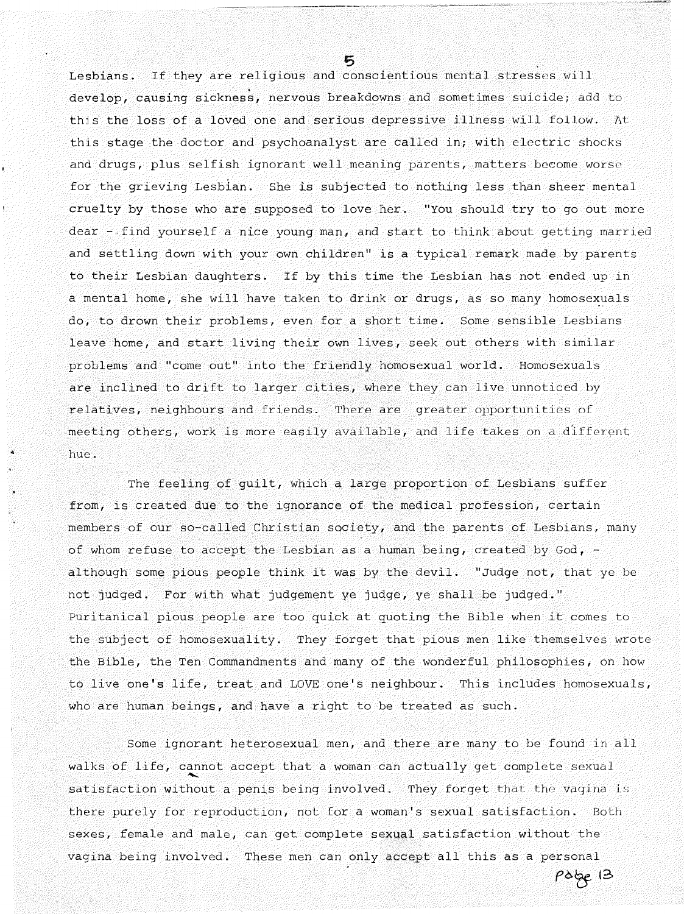Lesbians. If they are religious and conscientious mental stresses will develop, causing sickness, nervous breakdowns and sometimes suicide; add to this the loss of a loved one and serious depressive illness will follow. At this stage the doctor and psychoanalyst are called in; with electric shocks and drugs, plus selfish ignorant well meaning parents, matters become worse for the grieving Lesbian. She is subjected to nothing less than sheer mental cruelty by those who are supposed to love her. "You should try to go out more dear - find yourself a nice young man, and start to think about getting married and settling down with your own children" is a typical remark made by parents to their Lesbian daughters. If by this time the Lesbian has not ended up in a mental home, she will have taken to drink or drugs, as so many homosexuals do, to drown their problems, even for a short time. Some sensible Lesbians leave home, and start living their own lives, seek out others with similar problems and "come out" into the friendly homosexual world. Homosexuals are inclined to drift to larger cities, where they can live unnoticed by relatives, neighbours and friends. There are greater opportunities of meeting others, work is more easily available, and life takes on a different hue.

The feeling of guilt, which a large proportion of Lesbians suffer from, is created due to the ignorance of the medical profession, certain members of our so-called Christian society, and the parents of Lesbians, many of whom refuse to accept the Lesbian as a human being, created by  $God,$ although some pious people think it was by the devil. "Judge not, that ye be not judged. For with what judgement ye judge, ye shall be judged." Puritanical pious people are too quick at quoting the Bible when it comes to the subject of homosexuality. They forget that pious men like themselves wrote the Bible, the Ten Commandments and many of the wonderful philosophies, on how to live one's life, treat and LOVE one's neighbour. This includes homosexuals, who are human beings, and have a right to be treated as such.

Some ignorant heterosexual men, and there are many to be found in all walks of life, cannot accept that a woman can actually get complete sexual some ignorant heterosexual men, and there are many to be found in all<br>walks of life, cannot accept that a woman can actually get complete sexual<br>satisfaction without a penis being involved. They forget that the vagina is there purely for reproduction, not for a woman's sexual satisfaction. Both sexes, female and male, can get complete sexual satisfaction without the vagina being involved. These men can only accept all this as a personal

pobe 13

 $\mathbf{r}$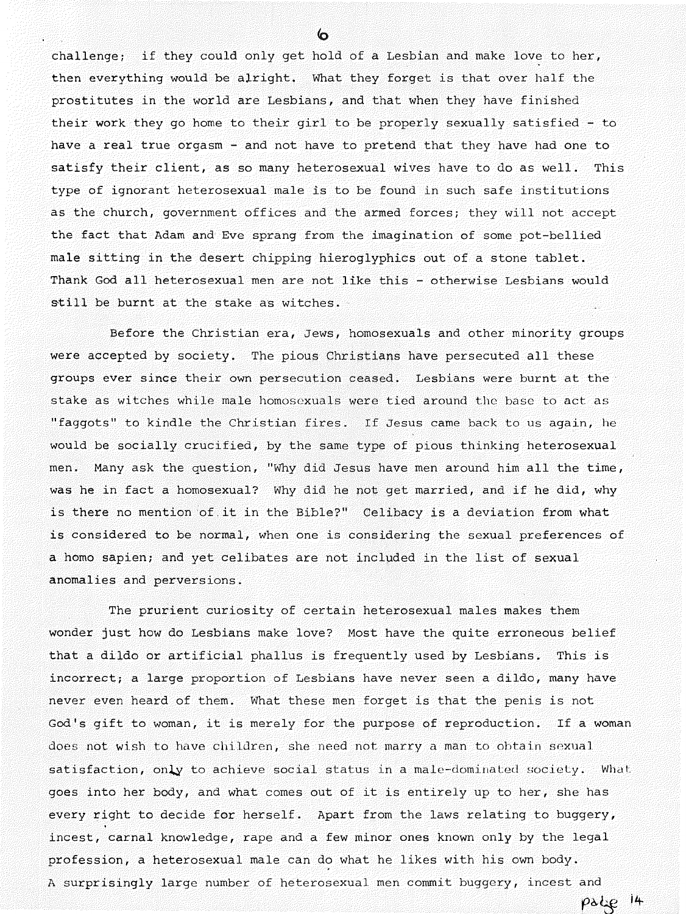challenge; if they could only get hold of a Lesbian and make love to her, then everything would be alright. What they forget is that over half the prostitutes in the world are Lesbians, and that when they have finished their work they go home to their girl to be properly sexually satisfied - to have a real true orgasm - and not have to pretend that they have had one to satisfy their client, as so many heterosexual wives have to do as well. This type of ignorant heterosexual male is to be found in such safe institutions as the church, government offices and the armed forces; they will not accept the fact that Adam and Eve sprang from the imagination of some pot-bellied male sitting in the desert chipping hieroglyphics out of a stone tablet. Thank God all heterosexual men are not like this - otherwise Lesbians would still be burnt at the stake as witches.

Before the Christian era, Jews, homosexuals and other minority groups were accepted by society. The pious Christians have persecuted all these groups ever since their own persecution ceased. Lesbians were burnt at the stake as witches while male homosexuals were tied around the base to act as "faggots" to kindle the Christian fires. If Jesus came back to us again, he would be socially crucified, by the same type of pious thinking heterosexual men. Many ask the question, "Why did Jesus have men around him all the time, was he in fact a homosexual? Why did he not get married, and if he did, why is there no mention of.it in the Bible?" Celibacy is a deviation from what is considered to be normal, when one is considering the sexual preferences of a homo sapien; and yet celibates are not included in the list of sexual anomalies and perversions.

The prurient curiosity of certain heterosexual males makes them wonder just how do Lesbians make love? Most have the quite erroneous belief that a dildo or artificial phallus is frequently used by Lesbians. This is incorrect; a large proportion of Lesbians have never seen a dildo, many have never even heard of them. What these men forget is that the penis is not God's gift to woman, it is merely for the purpose of reproduction. If a woman does not wish to have children, she need not marry a man to obtain sexual satisfaction, only to achieve social status in a male-dominated society. What goes into her body, and what comes out of it is entirely up to her, she has every right to decide for herself. Apart from the laws relating to buggery, incest, carnal knowledge, rape and a few minor ones known only by the legal profession, a heterosexual male can do what he likes with his own body. A surprisingly large number of heterosexual men commit buggery, incest and

**r6,':f itt-**

 $\epsilon$